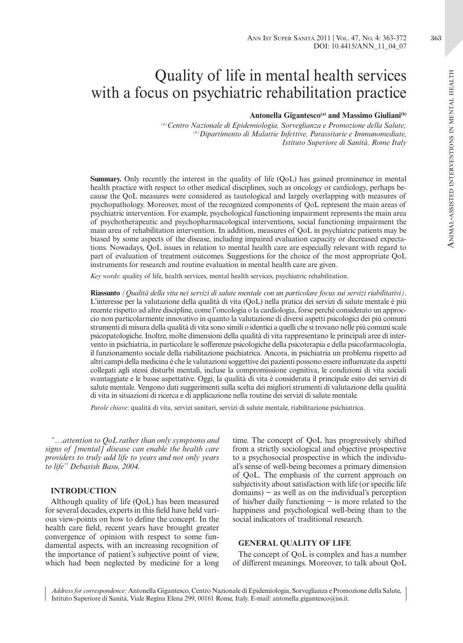# Quality of life in mental health services with a focus on psychiatric rehabilitation practice

#### Antonella Gigantesco<sup>(a)</sup> and Massimo Giuliani<sup>(b)</sup>

*(a)Centro Nazionale di Epidemiologia, Sorveglianza e Promozione della Salute; (b)Dipartimento di Malattie Infettive, Parassitarie e Immunomediate, Istituto Superiore di Sanità, Rome Italy*

**Summary.** Only recently the interest in the quality of life (QoL) has gained prominence in mental health practice with respect to other medical disciplines, such as oncology or cardiology, perhaps because the QoL measures were considered as tautological and largely overlapping with measures of psychopathology. Moreover, most of the recognized components of QoL represent the main areas of psychiatric intervention. For example, psychological functioning impairment represents the main area of psychotherapeutic and psychopharmacological interventions, social functioning impairment the main area of rehabilitation intervention. In addition, measures of QoL in psychiatric patients may be biased by some aspects of the disease, including impaired evaluation capacity or decreased expectations. Nowadays, QoL issues in relation to mental health care are especially relevant with regard to part of evaluation of treatment outcomes. Suggestions for the choice of the most appropriate QoL instruments for research and routine evaluation in mental health care are given.

*Key words*: quality of life, health services, mental health services, psychiatric rehabilitation.

**Riassunto** *(Qualità della vita nei servizi di salute mentale con un particolare focus sui servizi riabilitativi)*. L'interesse per la valutazione della qualità di vita (QoL) nella pratica dei servizi di salute mentale è più recente rispetto ad altre discipline, come l'oncologia o la cardiologia, forse perché considerato un approccio non particolarmente innovativo in quanto la valutazione di diversi aspetti psicologici dei più comuni strumenti di misura della qualità di vita sono simili o identici a quelli che si trovano nelle più comuni scale psicopatologiche. Inoltre, molte dimensioni della qualità di vita rappresentano le principali aree di intervento in psichiatria, in particolare le sofferenze psicologiche della psicoterapia e della psicofarmacologia, il funzionamento sociale della riabilitazione psichiatrica. Ancora, in psichiatria un problema rispetto ad altri campi della medicina è che le valutazioni soggettive dei pazienti possono essere influenzate da aspetti collegati agli stessi disturbi mentali, incluse la compromissione cognitiva, le condizioni di vita sociali svantaggiate e le basse aspettative. Oggi, la qualità di vita è considerata il principale esito dei servizi di salute mentale. Vengono dati suggerimenti sulla scelta dei migliori strumenti di valutazione della qualità di vita in situazioni di ricerca e di applicazione nella routine dei servizi di salute mentale.

*Parole chiave*: qualità di vita, servizi sanitari, servizi di salute mentale, riabilitazione psichiatrica.

*"…attention to QoL rather than only symptoms and signs of [mental] disease can enable the health care providers to truly add life to years and not only years to life" Debasish Basu, 2004.*

#### **INTRODUCTION**

Although quality of life (QoL) has been measured for several decades, experts in this field have held various view-points on how to define the concept. In the health care field, recent years have brought greater convergence of opinion with respect to some fundamental aspects, with an increasing recognition of the importance of patient's subjective point of view, which had been neglected by medicine for a long time. The concept of QoL has progressively shifted from a strictly sociological and objective prospective to a psychosocial prospective in which the individual's sense of well-being becomes a primary dimension of QoL. The emphasis of the current approach on subjectivity about satisfaction with life (or specific life domains) − as well as on the individual's perception of his/her daily functioning − is more related to the happiness and psychological well-being than to the social indicators of traditional research.

#### **GENERAL QUALITY OF LIFE**

The concept of QoL is complex and has a number of different meanings. Moreover, to talk about QoL

*Address for correspondence:* Antonella Gigantesco, Centro Nazionale di Epidemiologia, Sorveglianza e Promozione della Salute, Istituto Superiore di Sanità, Viale Regina Elena 299, 00161 Rome, Italy. E-mail: antonella.gigantesco@iss.it.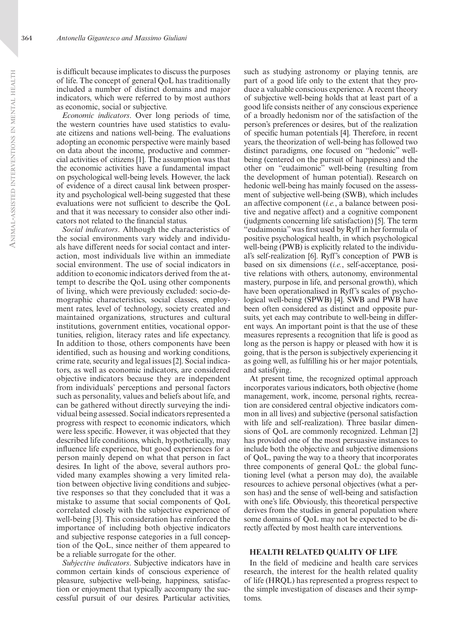is difficult because implicates to discuss the purposes of life. The concept of general QoL has traditionally included a number of distinct domains and major indicators, which were referred to by most authors as economic, social or subjective.

*Economic indicators*. Over long periods of time, the western countries have used statistics to evaluate citizens and nations well-being. The evaluations adopting an economic perspective were mainly based on data about the income, productive and commercial activities of citizens [1]. The assumption was that the economic activities have a fundamental impact on psychological well-being levels. However, the lack of evidence of a direct causal link between prosperity and psychological well-being suggested that these evaluations were not sufficient to describe the QoL and that it was necessary to consider also other indicators not related to the financial status.

*Social indicators*. Although the characteristics of the social environments vary widely and individuals have different needs for social contact and interaction, most individuals live within an immediate social environment. The use of social indicators in addition to economic indicators derived from the attempt to describe the QoL using other components of living, which were previously excluded: socio-demographic characteristics, social classes, employment rates, level of technology, society created and maintained organizations, structures and cultural institutions, government entities, vocational opportunities, religion, literacy rates and life expectancy. In addition to those, others components have been identified, such as housing and working conditions, crime rate, security and legal issues [2]. Social indicators, as well as economic indicators, are considered objective indicators because they are independent from individuals' perceptions and personal factors such as personality, values and beliefs about life, and can be gathered without directly surveying the individual being assessed. Social indicators represented a progress with respect to economic indicators, which were less specific. However, it was objected that they described life conditions, which, hypothetically, may influence life experience, but good experiences for a person mainly depend on what that person in fact desires. In light of the above, several authors provided many examples showing a very limited relation between objective living conditions and subjective responses so that they concluded that it was a mistake to assume that social components of QoL correlated closely with the subjective experience of well-being [3]. This consideration has reinforced the importance of including both objective indicators and subjective response categories in a full conception of the QoL, since neither of them appeared to be a reliable surrogate for the other.

*Subjective indicators*. Subjective indicators have in common certain kinds of conscious experience of pleasure, subjective well-being, happiness, satisfaction or enjoyment that typically accompany the successful pursuit of our desires. Particular activities,

such as studying astronomy or playing tennis, are part of a good life only to the extent that they produce a valuable conscious experience. A recent theory of subjective well-being holds that at least part of a good life consists neither of any conscious experience of a broadly hedonism nor of the satisfaction of the person's preferences or desires, but of the realization of specific human potentials [4]. Therefore, in recent years, the theorization of well-being has followed two distinct paradigms, one focused on "hedonic" wellbeing (centered on the pursuit of happiness) and the other on "eudaimonic" well-being (resulting from the development of human potential). Research on hedonic well-being has mainly focused on the assessment of subjective well-being (SWB), which includes an affective component (*i.e.*, a balance between positive and negative affect) and a cognitive component (judgments concerning life satisfaction) [5]. The term "eudaimonia" was first used by Ryff in her formula of positive psychological health, in which psychological well-being (PWB) is explicitly related to the individual's self-realization [6]. Ryff's conception of PWB is based on six dimensions (*i.e.*, self-acceptance, positive relations with others, autonomy, environmental mastery, purpose in life, and personal growth), which have been operationalised in Ryff's scales of psychological well-being (SPWB) [4]. SWB and PWB have been often considered as distinct and opposite pursuits, yet each may contribute to well-being in different ways. An important point is that the use of these measures represents a recognition that life is good as long as the person is happy or pleased with how it is going, that is the person is subjectively experiencing it as going well, as fulfilling his or her major potentials, and satisfying.

At present time, the recognized optimal approach incorporates various indicators, both objective (home management, work, income, personal rights, recreation are considered central objective indicators common in all lives) and subjective (personal satisfaction with life and self-realization). Three basilar dimensions of QoL are commonly recognized. Lehman [2] has provided one of the most persuasive instances to include both the objective and subjective dimensions of QoL, paving the way to a theory that incorporates three components of general QoL: the global functioning level (what a person may do), the available resources to achieve personal objectives (what a person has) and the sense of well-being and satisfaction with one's life. Obviously, this theoretical perspective derives from the studies in general population where some domains of QoL may not be expected to be directly affected by most health care interventions.

#### **HEALTH RELATED QUALITY OF LIFE**

In the field of medicine and health care services research, the interest for the health related quality of life (HRQL) has represented a progress respect to the simple investigation of diseases and their symptoms.

 $\triangleleft$ nim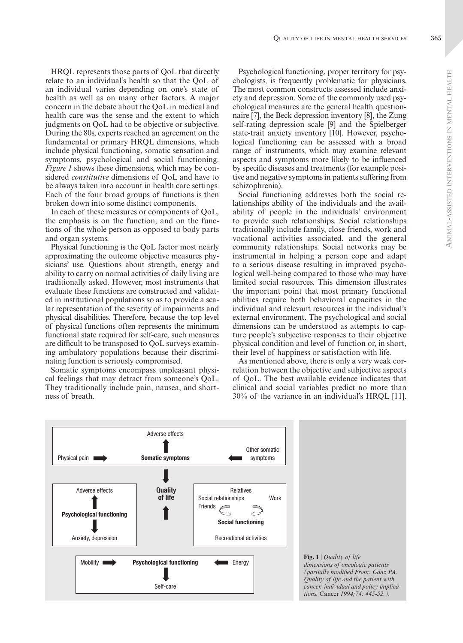HRQL represents those parts of QoL that directly relate to an individual's health so that the QoL of an individual varies depending on one's state of health as well as on many other factors. A major concern in the debate about the QoL in medical and health care was the sense and the extent to which judgments on QoL had to be objective or subjective. During the 80s, experts reached an agreement on the fundamental or primary HRQL dimensions, which include physical functioning, somatic sensation and symptoms, psychological and social functioning. *Figure 1* shows these dimensions, which may be considered *constitutive* dimensions of QoL and have to be always taken into account in health care settings. Each of the four broad groups of functions is then broken down into some distinct components.

In each of these measures or components of QoL, the emphasis is on the function, and on the functions of the whole person as opposed to body parts and organ systems.

Physical functioning is the QoL factor most nearly approximating the outcome objective measures physicians' use. Questions about strength, energy and ability to carry on normal activities of daily living are traditionally asked. However, most instruments that evaluate these functions are constructed and validated in institutional populations so as to provide a scalar representation of the severity of impairments and physical disabilities. Therefore, because the top level of physical functions often represents the minimum functional state required for self-care, such measures are difficult to be transposed to QoL surveys examining ambulatory populations because their discriminating function is seriously compromised.

Somatic symptoms encompass unpleasant physical feelings that may detract from someone's QoL. They traditionally include pain, nausea, and shortness of breath.

Psychological functioning, proper territory for psychologists, is frequently problematic for physicians. The most common constructs assessed include anxiety and depression. Some of the commonly used psychological measures are the general health questionnaire [7], the Beck depression inventory [8], the Zung self-rating depression scale [9] and the Spielberger state-trait anxiety inventory [10]. However, psychological functioning can be assessed with a broad range of instruments, which may examine relevant aspects and symptoms more likely to be influenced by specific diseases and treatments (for example positive and negative symptoms in patients suffering from schizophrenia).

Social functioning addresses both the social relationships ability of the individuals and the availability of people in the individuals' environment to provide such relationships. Social relationships traditionally include family, close friends, work and vocational activities associated, and the general community relationships. Social networks may be instrumental in helping a person cope and adapt to a serious disease resulting in improved psychological well-being compared to those who may have limited social resources. This dimension illustrates the important point that most primary functional abilities require both behavioral capacities in the individual and relevant resources in the individual's external environment. The psychological and social dimensions can be understood as attempts to capture people's subjective responses to their objective physical condition and level of function or, in short, their level of happiness or satisfaction with life.

As mentioned above, there is only a very weak correlation between the objective and subjective aspects of QoL. The best available evidence indicates that clinical and social variables predict no more than 30% of the variance in an individual's HRQL [11].



**Fig. 1** | *Quality of life dimensions of oncologic patients (partially modified From: Ganz PA. Quality of life and the patient with cancer: individual and policy implications.* Cancer *1994;74: 445-52.).*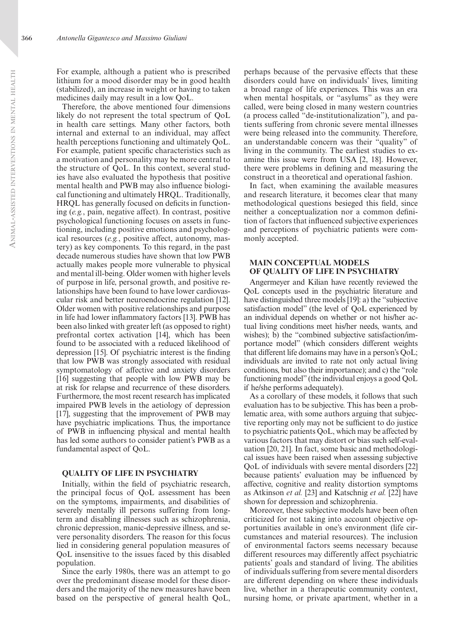For example, although a patient who is prescribed lithium for a mood disorder may be in good health (stabilized), an increase in weight or having to taken medicines daily may result in a low QoL.

Therefore, the above mentioned four dimensions likely do not represent the total spectrum of QoL in health care settings. Many other factors, both internal and external to an individual, may affect health perceptions functioning and ultimately QoL. For example, patient specific characteristics such as a motivation and personality may be more central to the structure of QoL. In this context, several studies have also evaluated the hypothesis that positive mental health and PWB may also influence biological functioning and ultimately HRQL. Traditionally, HRQL has generally focused on deficits in functioning (*e.g.*, pain, negative affect). In contrast, positive psychological functioning focuses on assets in functioning, including positive emotions and psychological resources (*e.g.*, positive affect, autonomy, mastery) as key components. To this regard, in the past decade numerous studies have shown that low PWB actually makes people more vulnerable to physical and mental ill-being. Older women with higher levels of purpose in life, personal growth, and positive relationships have been found to have lower cardiovascular risk and better neuroendocrine regulation [12]. Older women with positive relationships and purpose in life had lower inflammatory factors [13]. PWB has been also linked with greater left (as opposed to right) prefrontal cortex activation [14], which has been found to be associated with a reduced likelihood of depression [15]. Of psychiatric interest is the finding that low PWB was strongly associated with residual symptomatology of affective and anxiety disorders [16] suggesting that people with low PWB may be at risk for relapse and recurrence of these disorders. Furthermore, the most recent research has implicated impaired PWB levels in the aetiology of depression [17], suggesting that the improvement of PWB may have psychiatric implications. Thus, the importance of PWB in influencing physical and mental health has led some authors to consider patient's PWB as a fundamental aspect of QoL.

#### **QUALITY OF LIFE IN PSYCHIATRY**

Initially, within the field of psychiatric research, the principal focus of QoL assessment has been on the symptoms, impairments, and disabilities of severely mentally ill persons suffering from longterm and disabling illnesses such as schizophrenia, chronic depression, manic-depressive illness, and severe personality disorders. The reason for this focus lied in considering general population measures of QoL insensitive to the issues faced by this disabled population.

Since the early 1980s, there was an attempt to go over the predominant disease model for these disorders and the majority of the new measures have been based on the perspective of general health QoL,

perhaps because of the pervasive effects that these disorders could have on individuals' lives, limiting a broad range of life experiences. This was an era when mental hospitals, or "asylums" as they were called, were being closed in many western countries (a process called "de-institutionalization"), and patients suffering from chronic severe mental illnesses were being released into the community. Therefore, an understandable concern was their "quality" of living in the community. The earliest studies to examine this issue were from USA [2, 18]. However, there were problems in defining and measuring the construct in a theoretical and operational fashion.

In fact, when examining the available measures and research literature, it becomes clear that many methodological questions besieged this field, since neither a conceptualization nor a common definition of factors that influenced subjective experiences and perceptions of psychiatric patients were commonly accepted.

## **MAIN CONCEPTUAL MODELS OF QUALITY OF LIFE IN PSYCHIATRY**

Angermeyer and Kilian have recently reviewed the QoL concepts used in the psychiatric literature and have distinguished three models [19]: a) the "subjective satisfaction model" (the level of QoL experienced by an individual depends on whether or not his/her actual living conditions meet his/her needs, wants, and wishes); b) the "combined subjective satisfaction/importance model" (which considers different weights that different life domains may have in a person's QoL; individuals are invited to rate not only actual living conditions, but also their importance); and c) the "role functioning model" (the individual enjoys a good QoL if he/she performs adequately).

As a corollary of these models, it follows that such evaluation has to be subjective. This has been a problematic area, with some authors arguing that subjective reporting only may not be sufficient to do justice to psychiatric patients QoL, which may be affected by various factors that may distort or bias such self-evaluation [20, 21]. In fact, some basic and methodological issues have been raised when assessing subjective QoL of individuals with severe mental disorders [22] because patients' evaluation may be influenced by affective, cognitive and reality distortion symptoms as Atkinson *et al.* [23] and Katschnig *et al.* [22] have shown for depression and schizophrenia.

Moreover, these subjective models have been often criticized for not taking into account objective opportunities available in one's environment (life circumstances and material resources). The inclusion of environmental factors seems necessary because different resources may differently affect psychiatric patients' goals and standard of living. The abilities of individuals suffering from severe mental disorders are different depending on where these individuals live, whether in a therapeutic community context, nursing home, or private apartment, whether in a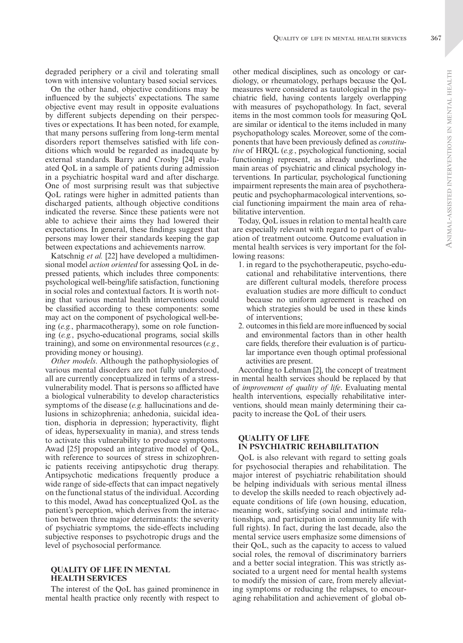degraded periphery or a civil and tolerating small town with intensive voluntary based social services.

On the other hand, objective conditions may be influenced by the subjects' expectations. The same objective event may result in opposite evaluations by different subjects depending on their perspectives or expectations. It has been noted, for example, that many persons suffering from long-term mental disorders report themselves satisfied with life conditions which would be regarded as inadequate by external standards. Barry and Crosby [24] evaluated QoL in a sample of patients during admission in a psychiatric hospital ward and after discharge. One of most surprising result was that subjective QoL ratings were higher in admitted patients than discharged patients, although objective conditions indicated the reverse. Since these patients were not able to achieve their aims they had lowered their expectations. In general, these findings suggest that persons may lower their standards keeping the gap between expectations and achievements narrow.

Katschnig *et al.* [22] have developed a multidimensional model *action oriented* for assessing QoL in depressed patients, which includes three components: psychological well-being/life satisfaction, functioning in social roles and contextual factors. It is worth noting that various mental health interventions could be classified according to these components: some may act on the component of psychological well-being (*e.g.*, pharmacotherapy), some on role functioning (*e.g.*, psycho-educational programs, social skills training), and some on environmental resources (*e.g.*, providing money or housing).

*Other models*. Although the pathophysiologies of various mental disorders are not fully understood, all are currently conceptualized in terms of a stressvulnerability model. That is persons so afflicted have a biological vulnerability to develop characteristics symptoms of the disease (*e.g.* hallucinations and delusions in schizophrenia; anhedonia, suicidal ideation, disphoria in depression; hyperactivity, flight of ideas, hypersexuality in mania), and stress tends to activate this vulnerability to produce symptoms. Awad [25] proposed an integrative model of QoL, with reference to sources of stress in schizophrenic patients receiving antipsychotic drug therapy. Antipsychotic medications frequently produce a wide range of side-effects that can impact negatively on the functional status of the individual. According to this model, Awad has conceptualized QoL as the patient's perception, which derives from the interaction between three major determinants: the severity of psychiatric symptoms, the side-effects including subjective responses to psychotropic drugs and the level of psychosocial performance.

#### **QUALITY OF LIFE IN MENTAL HEALTH SERVICES**

The interest of the QoL has gained prominence in mental health practice only recently with respect to other medical disciplines, such as oncology or cardiology, or rheumatology, perhaps because the QoL measures were considered as tautological in the psychiatric field, having contents largely overlapping with measures of psychopathology. In fact, several items in the most common tools for measuring QoL are similar or identical to the items included in many psychopathology scales. Moreover, some of the components that have been previously defined as *constitutive* of HRQL (*e.g.*, psychological functioning, social functioning) represent, as already underlined, the main areas of psychiatric and clinical psychology interventions. In particular, psychological functioning impairment represents the main area of psychotherapeutic and psychopharmacological interventions, social functioning impairment the main area of rehabilitative intervention.

Today, QoL issues in relation to mental health care are especially relevant with regard to part of evaluation of treatment outcome. Outcome evaluation in mental health services is very important for the following reasons:

- 1. in regard to the psychotherapeutic, psycho-educational and rehabilitative interventions, there are different cultural models, therefore process evaluation studies are more difficult to conduct because no uniform agreement is reached on which strategies should be used in these kinds of interventions;
- 2. outcomes in this field are more influenced by social and environmental factors than in other health care fields, therefore their evaluation is of particular importance even though optimal professional activities are present.

According to Lehman [2], the concept of treatment in mental health services should be replaced by that of *improvement of quality of life*. Evaluating mental health interventions, especially rehabilitative interventions, should mean mainly determining their capacity to increase the QoL of their users.

## **QUALITY OF LIFE IN PSYCHIATRIC REHABILITATION**

QoL is also relevant with regard to setting goals for psychosocial therapies and rehabilitation. The major interest of psychiatric rehabilitation should be helping individuals with serious mental illness to develop the skills needed to reach objectively adequate conditions of life (own housing, education, meaning work, satisfying social and intimate relationships, and participation in community life with full rights). In fact, during the last decade, also the mental service users emphasize some dimensions of their QoL, such as the capacity to access to valued social roles, the removal of discriminatory barriers and a better social integration. This was strictly associated to a urgent need for mental health systems to modify the mission of care, from merely alleviating symptoms or reducing the relapses, to encouraging rehabilitation and achievement of global ob-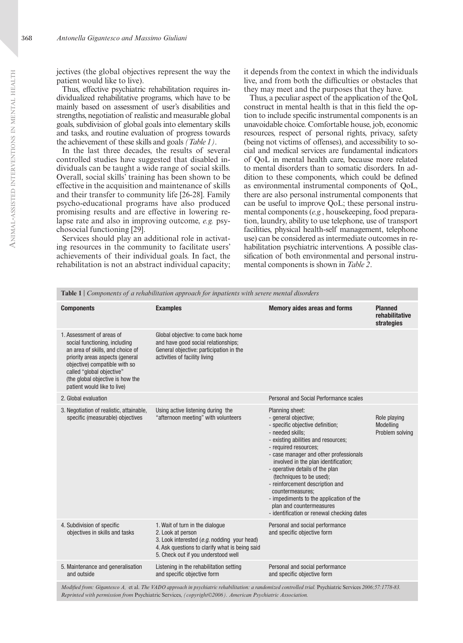Thus, effective psychiatric rehabilitation requires individualized rehabilitative programs, which have to be mainly based on assessment of user's disabilities and strengths, negotiation of realistic and measurable global goals, subdivision of global goals into elementary skills and tasks, and routine evaluation of progress towards the achievement of these skills and goals *(Table 1)*.

In the last three decades, the results of several controlled studies have suggested that disabled individuals can be taught a wide range of social skills. Overall, social skills' training has been shown to be effective in the acquisition and maintenance of skills and their transfer to community life [26-28]. Family psycho-educational programs have also produced promising results and are effective in lowering relapse rate and also in improving outcome, *e.g.* psychosocial functioning [29].

Services should play an additional role in activating resources in the community to facilitate users' achievements of their individual goals. In fact, the rehabilitation is not an abstract individual capacity;

it depends from the context in which the individuals live, and from both the difficulties or obstacles that they may meet and the purposes that they have.

Thus, a peculiar aspect of the application of the QoL construct in mental health is that in this field the option to include specific instrumental components is an unavoidable choice. Comfortable house, job, economic resources, respect of personal rights, privacy, safety (being not victims of offenses), and accessibility to social and medical services are fundamental indicators of QoL in mental health care, because more related to mental disorders than to somatic disorders. In addition to these components, which could be defined as environmental instrumental components of QoL, there are also personal instrumental components that can be useful to improve QoL; these personal instrumental components (*e.g.*, housekeeping, food preparation, laundry, ability to use telephone, use of transport facilities, physical health-self management, telephone use) can be considered as intermediate outcomes in rehabilitation psychiatric interventions. A possible classification of both environmental and personal instrumental components is shown in *Table 2*.

| <b>Table 1</b> Components of a rehabilitation approach for inpatients with severe mental disorders                                                                                                                                                                 |                                                                                                                                                                                              |                                                                                                                                                                                                                                                                                                                                                                                                                                                                                              |                                                |  |
|--------------------------------------------------------------------------------------------------------------------------------------------------------------------------------------------------------------------------------------------------------------------|----------------------------------------------------------------------------------------------------------------------------------------------------------------------------------------------|----------------------------------------------------------------------------------------------------------------------------------------------------------------------------------------------------------------------------------------------------------------------------------------------------------------------------------------------------------------------------------------------------------------------------------------------------------------------------------------------|------------------------------------------------|--|
| <b>Components</b>                                                                                                                                                                                                                                                  | <b>Examples</b>                                                                                                                                                                              | <b>Memory aides areas and forms</b>                                                                                                                                                                                                                                                                                                                                                                                                                                                          | <b>Planned</b><br>rehabilitative<br>strategies |  |
| 1. Assessment of areas of<br>social functioning, including<br>an area of skills, and choice of<br>priority areas aspects (general<br>objective) compatible with so<br>called "global objective"<br>(the global objective is how the<br>patient would like to live) | Global objective: to come back home<br>and have good social relationships;<br>General objective: participation in the<br>activities of facility living                                       |                                                                                                                                                                                                                                                                                                                                                                                                                                                                                              |                                                |  |
| 2. Global evaluation                                                                                                                                                                                                                                               |                                                                                                                                                                                              | Personal and Social Performance scales                                                                                                                                                                                                                                                                                                                                                                                                                                                       |                                                |  |
| 3. Negotiation of realistic, attainable,<br>specific (measurable) objectives                                                                                                                                                                                       | Using active listening during the<br>"afternoon meeting" with volunteers                                                                                                                     | Planning sheet:<br>- general objective;<br>- specific objective definition;<br>- needed skills;<br>- existing abilities and resources;<br>- required resources;<br>- case manager and other professionals<br>involved in the plan identification;<br>- operative details of the plan<br>(techniques to be used);<br>- reinforcement description and<br>countermeasures:<br>- impediments to the application of the<br>plan and countermeasures<br>- identification or renewal checking dates | Role playing<br>Modelling<br>Problem solving   |  |
| 4. Subdivision of specific<br>objectives in skills and tasks                                                                                                                                                                                                       | 1. Wait of turn in the dialogue<br>2. Look at person<br>3. Look interested (e.g. nodding your head)<br>4. Ask questions to clarify what is being said<br>5. Check out if you understood well | Personal and social performance<br>and specific objective form                                                                                                                                                                                                                                                                                                                                                                                                                               |                                                |  |
| 5. Maintenance and generalisation<br>and outside                                                                                                                                                                                                                   | Listening in the rehabilitation setting<br>and specific objective form                                                                                                                       | Personal and social performance<br>and specific objective form                                                                                                                                                                                                                                                                                                                                                                                                                               |                                                |  |
|                                                                                                                                                                                                                                                                    | Modified from: Gigantesco A, et al. The VADO approach in psychiatric rehabilitation: a randomized controlled trial Psychiatric Services 2006:57:1778-83                                      |                                                                                                                                                                                                                                                                                                                                                                                                                                                                                              |                                                |  |

*Modified from: Gigantesco A,* et al. *The VADO approach in psychiatric rehabilitation: a randomized controlled trial.* Psychiatric Services *2006;57:1778-83. Reprinted with permission from* Psychiatric Services, *(copyright©2006). American Psychiatric Association.*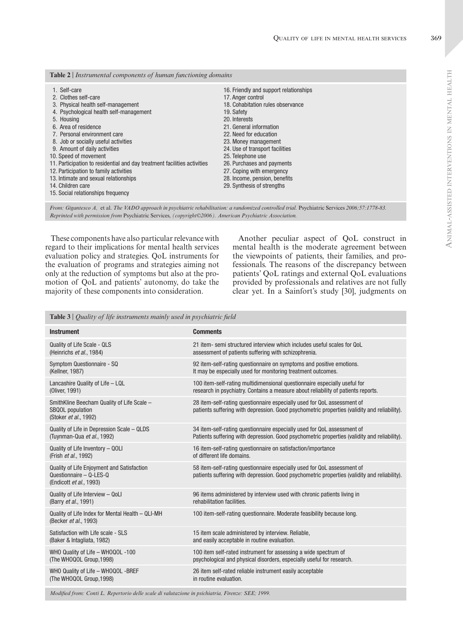| <b>Table 2</b> Instrumental components of human functioning domains                                                                                                                                                                                                                                                                                                                                                                                                                                                     |                                                                                                                                                                                                                                                                                                                                                                                                |  |  |
|-------------------------------------------------------------------------------------------------------------------------------------------------------------------------------------------------------------------------------------------------------------------------------------------------------------------------------------------------------------------------------------------------------------------------------------------------------------------------------------------------------------------------|------------------------------------------------------------------------------------------------------------------------------------------------------------------------------------------------------------------------------------------------------------------------------------------------------------------------------------------------------------------------------------------------|--|--|
| 1. Self-care<br>2. Clothes self-care<br>3. Physical health self-management<br>4. Psychological health self-management<br>5. Housing<br>6. Area of residence<br>7. Personal environment care<br>8. Job or socially useful activities<br>9. Amount of daily activities<br>10. Speed of movement<br>11. Participation to residential and day treatment facilities activities<br>12. Participation to family activities<br>13. Intimate and sexual relationships<br>14. Children care<br>15. Social relationships frequency | 16. Friendly and support relationships<br>17. Anger control<br>18. Cohabitation rules observance<br>19. Safety<br>20. Interests<br>21. General information<br>22. Need for education<br>23. Money management<br>24. Use of transport facilities<br>25. Telephone use<br>26. Purchases and payments<br>27. Coping with emergency<br>28. Income, pension, benefits<br>29. Synthesis of strengths |  |  |
|                                                                                                                                                                                                                                                                                                                                                                                                                                                                                                                         |                                                                                                                                                                                                                                                                                                                                                                                                |  |  |

*From: Gigantesco A,* et al. *The VADO approach in psychiatric rehabilitation: a randomized controlled trial.* Psychiatric Services *2006;57:1778-83. Reprinted with permission from* Psychiatric Services, *(copyright©2006). American Psychiatric Association.*

These components have also particular relevance with regard to their implications for mental health services evaluation policy and strategies. QoL instruments for the evaluation of programs and strategies aiming not only at the reduction of symptoms but also at the promotion of QoL and patients' autonomy, do take the majority of these components into consideration.

Another peculiar aspect of QoL construct in mental health is the moderate agreement between the viewpoints of patients, their families, and professionals. The reasons of the discrepancy between patients' QoL ratings and external QoL evaluations provided by professionals and relatives are not fully clear yet. In a Sainfort's study [30], judgments on

**Table 3** | *Quality of life instruments mainly used in psychiatric field*

| <b>Instrument</b>                                                                                       | <b>Comments</b>                                                                                                                                                         |
|---------------------------------------------------------------------------------------------------------|-------------------------------------------------------------------------------------------------------------------------------------------------------------------------|
| <b>Quality of Life Scale - QLS</b>                                                                      | 21 item-semi structured interview which includes useful scales for QoL                                                                                                  |
| (Heinrichs et al., 1984)                                                                                | assessment of patients suffering with schizophrenia.                                                                                                                    |
| Symptom Questionnaire - SQ                                                                              | 92 item-self-rating questionnaire on symptoms and positive emotions.                                                                                                    |
| (Kellner, 1987)                                                                                         | It may be especially used for monitoring treatment outcomes.                                                                                                            |
| Lancashire Quality of Life - LQL                                                                        | 100 item-self-rating multidimensional questionnaire especially useful for                                                                                               |
| (Oliver, 1991)                                                                                          | research in psychiatry. Contains a measure about reliability of patients reports.                                                                                       |
| SmithKline Beecham Quality of Life Scale -<br><b>SBQOL</b> population<br>(Stoker et al., 1992)          | 28 item-self-rating questionnaire especially used for QoL assessment of<br>patients suffering with depression. Good psychometric properties (validity and reliability). |
| Quality of Life in Depression Scale - QLDS                                                              | 34 item-self-rating questionnaire especially used for QoL assessment of                                                                                                 |
| (Tuynman-Qua et al., 1992)                                                                              | Patients suffering with depression. Good psychometric properties (validity and reliability).                                                                            |
| Quality of Life Inventory - QOLI                                                                        | 16 item-self-rating questionnaire on satisfaction/importance                                                                                                            |
| (Frish et al., 1992)                                                                                    | of different life domains.                                                                                                                                              |
| <b>Quality of Life Enjoyment and Satisfaction</b><br>Questionnaire - Q-LES-Q<br>(Endicott et al., 1993) | 58 item-self-rating questionnaire especially used for QoL assessment of<br>patients suffering with depression. Good psychometric properties (validity and reliability). |
| Quality of Life Interview - QoLI                                                                        | 96 items administered by interview used with chronic patients living in                                                                                                 |
| (Barry et al., 1991)                                                                                    | rehabilitation facilities.                                                                                                                                              |
| Quality of Life Index for Mental Health - QLI-MH<br>(Becker et al., 1993)                               | 100 item-self-rating questionnaire. Moderate feasibility because long.                                                                                                  |
| Satisfaction with Life scale - SLS                                                                      | 15 item scale administered by interview. Reliable,                                                                                                                      |
| (Baker & Intagliata, 1982)                                                                              | and easily acceptable in routine evaluation.                                                                                                                            |
| WHO Quality of Life - WHOQOL -100                                                                       | 100 item self-rated instrument for assessing a wide spectrum of                                                                                                         |
| (The WHOQOL Group, 1998)                                                                                | psychological and physical disorders, especially useful for research.                                                                                                   |
| WHO Quality of Life - WHOQOL -BREF                                                                      | 26 item self-rated reliable instrument easily acceptable                                                                                                                |
| (The WHOQOL Group, 1998)                                                                                | in routine evaluation.                                                                                                                                                  |
|                                                                                                         |                                                                                                                                                                         |

*Modified from: Conti L. Repertorio delle scale di valutazione in psichiatria, Firenze: SEE; 1999.*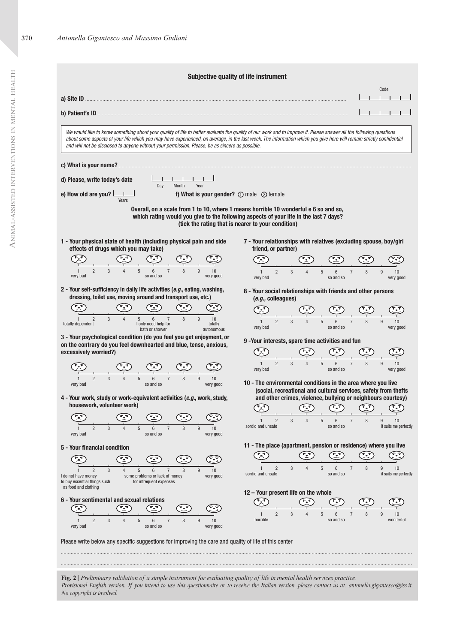|                                                                                                                                                                                                                                                                                                                                                                                                                                              | Subjective quality of life instrument                                                                                                                                                                                                                                                                    |
|----------------------------------------------------------------------------------------------------------------------------------------------------------------------------------------------------------------------------------------------------------------------------------------------------------------------------------------------------------------------------------------------------------------------------------------------|----------------------------------------------------------------------------------------------------------------------------------------------------------------------------------------------------------------------------------------------------------------------------------------------------------|
|                                                                                                                                                                                                                                                                                                                                                                                                                                              | Code                                                                                                                                                                                                                                                                                                     |
|                                                                                                                                                                                                                                                                                                                                                                                                                                              |                                                                                                                                                                                                                                                                                                          |
|                                                                                                                                                                                                                                                                                                                                                                                                                                              |                                                                                                                                                                                                                                                                                                          |
| We would like to know something about your quality of life to better evaluate the quality of our work and to improve it. Please answer all the following questions<br>about some aspects of your life which you may have experienced, on average, in the last week. The information which you give here will remain strictly confidential<br>and will not be disclosed to anyone without your permission. Please, be as sincere as possible. |                                                                                                                                                                                                                                                                                                          |
| c) What is your name?                                                                                                                                                                                                                                                                                                                                                                                                                        |                                                                                                                                                                                                                                                                                                          |
| d) Please, write today's date<br>Month<br>Year<br>Day                                                                                                                                                                                                                                                                                                                                                                                        |                                                                                                                                                                                                                                                                                                          |
| e) How old are you? $\lfloor$<br>f) What is your gender? $\mathbb D$ male $\mathbb O$ female<br>Years                                                                                                                                                                                                                                                                                                                                        |                                                                                                                                                                                                                                                                                                          |
| 1 - Your physical state of health (including physical pain and side                                                                                                                                                                                                                                                                                                                                                                          | Overall, on a scale from 1 to 10, where 1 means horrible 10 wonderful e 6 so and so,<br>which rating would you give to the following aspects of your life in the last 7 days?<br>(tick the rating that is nearer to your condition)<br>7 - Your relationships with relatives (excluding spouse, boy/girl |
| effects of drugs which you may take)                                                                                                                                                                                                                                                                                                                                                                                                         | friend, or partner)                                                                                                                                                                                                                                                                                      |
|                                                                                                                                                                                                                                                                                                                                                                                                                                              |                                                                                                                                                                                                                                                                                                          |
| $\overline{c}$<br>5<br>$\overline{7}$<br>3<br>8<br>9<br>6<br>10<br>very bad<br>so and so<br>very good                                                                                                                                                                                                                                                                                                                                        | $\overline{2}$<br>3<br>$5\,$<br>$6\phantom{1}$<br>$\overline{7}$<br>8<br>9<br>10<br>$\mathbf{1}$<br>very bad<br>so and so<br>very good                                                                                                                                                                   |
| 2 - Your self-sufficiency in daily life activities (e.g., eating, washing,<br>dressing, toilet use, moving around and transport use, etc.)                                                                                                                                                                                                                                                                                                   | 8 - Your social relationships with friends and other persons<br>(e.g., colleagues)                                                                                                                                                                                                                       |
|                                                                                                                                                                                                                                                                                                                                                                                                                                              |                                                                                                                                                                                                                                                                                                          |
| 5<br>$\overline{2}$<br>3<br>6<br>$\overline{7}$<br>8<br>9<br>10<br>totally dependent<br>I only need help for<br>totally<br>bath or shower<br>autonomous                                                                                                                                                                                                                                                                                      | $\overline{2}$<br>3<br>5<br>$6\overline{6}$<br>$\overline{7}$<br>9<br>10<br>so and so<br>very bad<br>very good                                                                                                                                                                                           |
| 3 - Your psychological condition (do you feel you get enjoyment, or<br>on the contrary do you feel downhearted and blue, tense, anxious,                                                                                                                                                                                                                                                                                                     | 9 - Your interests, spare time activities and fun                                                                                                                                                                                                                                                        |
| excessively worried?)                                                                                                                                                                                                                                                                                                                                                                                                                        |                                                                                                                                                                                                                                                                                                          |
|                                                                                                                                                                                                                                                                                                                                                                                                                                              | 5<br>$6\overline{6}$<br>9<br>$\mathfrak{p}$<br>10<br>very bad<br>so and so<br>very good                                                                                                                                                                                                                  |
| 3<br>$\overline{2}$<br>5<br>8<br>9<br>$\overline{A}$<br>6<br>$\overline{7}$<br>10<br>so and so<br>very bad<br>very good                                                                                                                                                                                                                                                                                                                      | 10 - The environmental conditions in the area where you live<br>(social, recreational and cultural services, safety from thefts                                                                                                                                                                          |
| 4 - Your work, study or work-equivalent activities (e.g., work, study,<br>housework, volunteer work)                                                                                                                                                                                                                                                                                                                                         | and other crimes, violence, bullying or neighbours courtesy)                                                                                                                                                                                                                                             |
| ক্ষ                                                                                                                                                                                                                                                                                                                                                                                                                                          |                                                                                                                                                                                                                                                                                                          |
| $\overline{c}$<br>3<br>5<br>10<br>9<br>very bad<br>so and so<br>very good                                                                                                                                                                                                                                                                                                                                                                    | sordid and unsafe<br>so and so<br>it suits me perfectly                                                                                                                                                                                                                                                  |
| 5 - Your financial condition                                                                                                                                                                                                                                                                                                                                                                                                                 | 11 - The place (apartment, pension or residence) where you live                                                                                                                                                                                                                                          |
|                                                                                                                                                                                                                                                                                                                                                                                                                                              |                                                                                                                                                                                                                                                                                                          |
| $\overline{2}$<br>3<br>5<br>6<br>7<br>9<br>10<br>I do not have money<br>some problems or lack of money<br>very good<br>to buy essential things such<br>for infrequent expenses                                                                                                                                                                                                                                                               | 5<br>9<br>$\overline{2}$<br>3<br>6<br>$\overline{7}$<br>8<br>10<br>sordid and unsafe<br>so and so<br>it suits me perfectly                                                                                                                                                                               |
| as food and clothing<br>6 - Your sentimental and sexual relations                                                                                                                                                                                                                                                                                                                                                                            | 12 - Your present life on the whole                                                                                                                                                                                                                                                                      |
|                                                                                                                                                                                                                                                                                                                                                                                                                                              | $\overline{2}$<br>3<br>5<br>9<br>6<br>7<br>10                                                                                                                                                                                                                                                            |
| 3<br>$\overline{c}$<br>$5\,$<br>$\overline{7}$<br>8<br>9<br>6<br>10<br>$\Delta$<br>very bad<br>so and so<br>very good                                                                                                                                                                                                                                                                                                                        | horrible<br>so and so<br>wonderful                                                                                                                                                                                                                                                                       |
| Please write below any specific suggestions for improving the care and quality of life of this center                                                                                                                                                                                                                                                                                                                                        |                                                                                                                                                                                                                                                                                                          |
|                                                                                                                                                                                                                                                                                                                                                                                                                                              |                                                                                                                                                                                                                                                                                                          |

*Provisional English version. If you intend to use this questionnaire or to receive the Italian version, please contact us at: antonella.gigantesco@iss.it. No copyright is involved.*

 $\blacktriangleleft$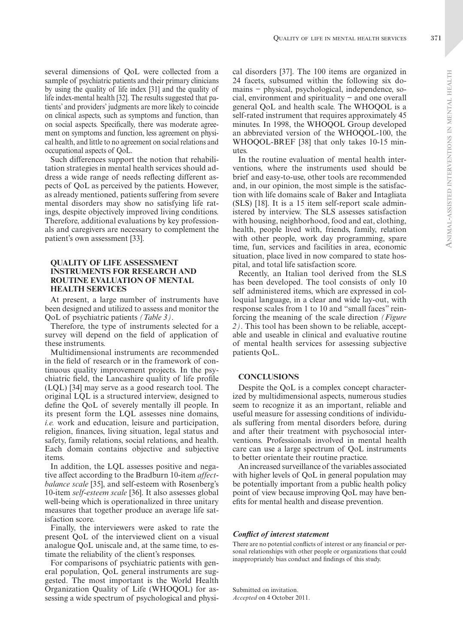$\triangleleft$ 

several dimensions of QoL were collected from a sample of psychiatric patients and their primary clinicians by using the quality of life index [31] and the quality of life index-mental health [32]. The results suggested that patients' and providers' judgments are more likely to coincide on clinical aspects, such as symptoms and function, than on social aspects. Specifically, there was moderate agreement on symptoms and function, less agreement on physical health, and little to no agreement on social relations and occupational aspects of QoL.

Such differences support the notion that rehabilitation strategies in mental health services should address a wide range of needs reflecting different aspects of QoL as perceived by the patients. However, as already mentioned, patients suffering from severe mental disorders may show no satisfying life ratings, despite objectively improved living conditions. Therefore, additional evaluations by key professionals and caregivers are necessary to complement the patient's own assessment [33].

### **QUALITY OF LIFE ASSESSMENT INSTRUMENTS FOR RESEARCH AND ROUTINE EVALUATION OF MENTAL HEALTH SERVICES**

At present, a large number of instruments have been designed and utilized to assess and monitor the QoL of psychiatric patients *(Table 3)*.

Therefore, the type of instruments selected for a survey will depend on the field of application of these instruments.

Multidimensional instruments are recommended in the field of research or in the framework of continuous quality improvement projects. In the psychiatric field, the Lancashire quality of life profile (LQL) [34] may serve as a good research tool. The original LQL is a structured interview, designed to define the QoL of severely mentally ill people. In its present form the LQL assesses nine domains, *i.e.* work and education, leisure and participation, religion, finances, living situation, legal status and safety, family relations, social relations, and health. Each domain contains objective and subjective items.

In addition, the LQL assesses positive and negative affect according to the Bradburn 10-item *affectbalance scale* [35], and self-esteem with Rosenberg's 10-item *self-esteem scale* [36]. It also assesses global well-being which is operationalized in three unitary measures that together produce an average life satisfaction score.

Finally, the interviewers were asked to rate the present QoL of the interviewed client on a visual analogue QoL uniscale and, at the same time, to estimate the reliability of the client's responses.

For comparisons of psychiatric patients with general population, QoL general instruments are suggested. The most important is the World Health Organization Quality of Life (WHOQOL) for assessing a wide spectrum of psychological and physical disorders [37]. The 100 items are organized in 24 facets, subsumed within the following six domains − physical, psychological, independence, social, environment and spirituality − and one overall general QoL and health scale. The WHOQOL is a self-rated instrument that requires approximately 45 minutes. In 1998, the WHOQOL Group developed an abbreviated version of the WHOQOL-100, the WHOQOL-BREF [38] that only takes 10-15 minutes.

In the routine evaluation of mental health interventions, where the instruments used should be brief and easy-to-use, other tools are recommended and, in our opinion, the most simple is the satisfaction with life domains scale of Baker and Intagliata (SLS) [18]. It is a 15 item self-report scale administered by interview. The SLS assesses satisfaction with housing, neighborhood, food and eat, clothing, health, people lived with, friends, family, relation with other people, work day programming, spare time, fun, services and facilities in area, economic situation, place lived in now compared to state hospital, and total life satisfaction score.

Recently, an Italian tool derived from the SLS has been developed. The tool consists of only 10 self administered items, which are expressed in colloquial language, in a clear and wide lay-out, with response scales from 1 to 10 and "small faces" reinforcing the meaning of the scale direction *(Figure 2)*. This tool has been shown to be reliable, acceptable and useable in clinical and evaluative routine of mental health services for assessing subjective patients QoL.

#### **CONCLUSIONS**

Despite the QoL is a complex concept characterized by multidimensional aspects, numerous studies seem to recognize it as an important, reliable and useful measure for assessing conditions of individuals suffering from mental disorders before, during and after their treatment with psychosocial interventions. Professionals involved in mental health care can use a large spectrum of QoL instruments to better orientate their routine practice.

An increased surveillance of the variables associated with higher levels of QoL in general population may be potentially important from a public health policy point of view because improving QoL may have benefits for mental health and disease prevention.

#### *Conflict of interest statement*

There are no potential conflicts of interest or any financial or personal relationships with other people or organizations that could inappropriately bias conduct and findings of this study.

Submitted on invitation. *Accepted* on 4 October 2011.